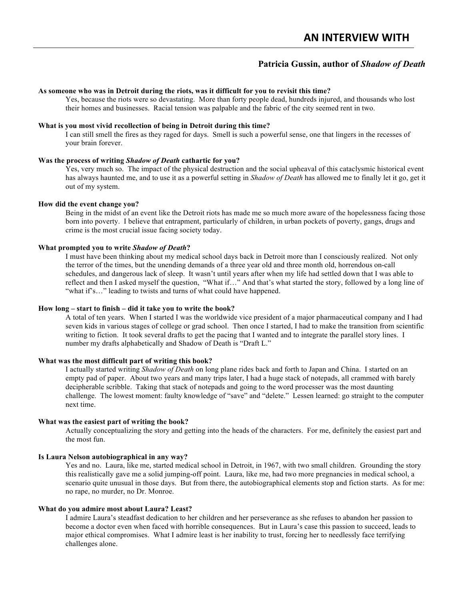# **Patricia Gussin, author of** *Shadow of Death*

#### **As someone who was in Detroit during the riots, was it difficult for you to revisit this time?**

Yes, because the riots were so devastating. More than forty people dead, hundreds injured, and thousands who lost their homes and businesses. Racial tension was palpable and the fabric of the city seemed rent in two.

## **What is you most vivid recollection of being in Detroit during this time?**

I can still smell the fires as they raged for days. Smell is such a powerful sense, one that lingers in the recesses of your brain forever.

### **Was the process of writing** *Shadow of Death* **cathartic for you?**

Yes, very much so. The impact of the physical destruction and the social upheaval of this cataclysmic historical event has always haunted me, and to use it as a powerful setting in *Shadow of Death* has allowed me to finally let it go, get it out of my system.

## **How did the event change you?**

Being in the midst of an event like the Detroit riots has made me so much more aware of the hopelessness facing those born into poverty. I believe that entrapment, particularly of children, in urban pockets of poverty, gangs, drugs and crime is the most crucial issue facing society today.

#### **What prompted you to write** *Shadow of Death***?**

I must have been thinking about my medical school days back in Detroit more than I consciously realized. Not only the terror of the times, but the unending demands of a three year old and three month old, horrendous on-call schedules, and dangerous lack of sleep. It wasn't until years after when my life had settled down that I was able to reflect and then I asked myself the question, "What if…" And that's what started the story, followed by a long line of "what if's..." leading to twists and turns of what could have happened.

## **How long – start to finish – did it take you to write the book?**

A total of ten years. When I started I was the worldwide vice president of a major pharmaceutical company and I had seven kids in various stages of college or grad school. Then once I started, I had to make the transition from scientific writing to fiction. It took several drafts to get the pacing that I wanted and to integrate the parallel story lines. I number my drafts alphabetically and Shadow of Death is "Draft L."

## **What was the most difficult part of writing this book?**

I actually started writing *Shadow of Death* on long plane rides back and forth to Japan and China. I started on an empty pad of paper. About two years and many trips later, I had a huge stack of notepads, all crammed with barely decipherable scribble. Taking that stack of notepads and going to the word processer was the most daunting challenge. The lowest moment: faulty knowledge of "save" and "delete." Lessen learned: go straight to the computer next time.

#### **What was the easiest part of writing the book?**

Actually conceptualizing the story and getting into the heads of the characters. For me, definitely the easiest part and the most fun.

#### **Is Laura Nelson autobiographical in any way?**

Yes and no. Laura, like me, started medical school in Detroit, in 1967, with two small children. Grounding the story this realistically gave me a solid jumping-off point. Laura, like me, had two more pregnancies in medical school, a scenario quite unusual in those days. But from there, the autobiographical elements stop and fiction starts. As for me: no rape, no murder, no Dr. Monroe.

## **What do you admire most about Laura? Least?**

I admire Laura's steadfast dedication to her children and her perseverance as she refuses to abandon her passion to become a doctor even when faced with horrible consequences. But in Laura's case this passion to succeed, leads to major ethical compromises. What I admire least is her inability to trust, forcing her to needlessly face terrifying challenges alone.